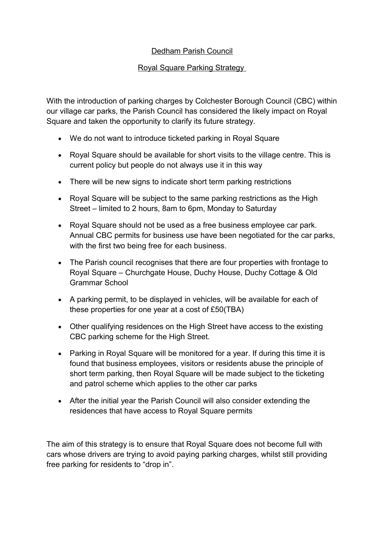## Dedham Parish Council

## Royal Square Parking Strategy

With the introduction of parking charges by Colchester Borough Council (CBC) within our village car parks, the Parish Council has considered the likely impact on Royal Square and taken the opportunity to clarify its future strategy.

- We do not want to introduce ticketed parking in Royal Square
- Royal Square should be available for short visits to the village centre. This is current policy but people do not always use it in this way
- There will be new signs to indicate short term parking restrictions
- Royal Square will be subject to the same parking restrictions as the High Street – limited to 2 hours, 8am to 6pm, Monday to Saturday
- Royal Square should not be used as a free business employee car park. Annual CBC permits for business use have been negotiated for the car parks, with the first two being free for each business.
- The Parish council recognises that there are four properties with frontage to Royal Square – Churchgate House, Duchy House, Duchy Cottage & Old Grammar School
- A parking permit, to be displayed in vehicles, will be available for each of these properties for one year at a cost of £50(TBA)
- Other qualifying residences on the High Street have access to the existing CBC parking scheme for the High Street.
- Parking in Royal Square will be monitored for a year. If during this time it is found that business employees, visitors or residents abuse the principle of short term parking, then Royal Square will be made subject to the ticketing and patrol scheme which applies to the other car parks
- After the initial year the Parish Council will also consider extending the residences that have access to Royal Square permits

The aim of this strategy is to ensure that Royal Square does not become full with cars whose drivers are trying to avoid paying parking charges, whilst still providing free parking for residents to "drop in".